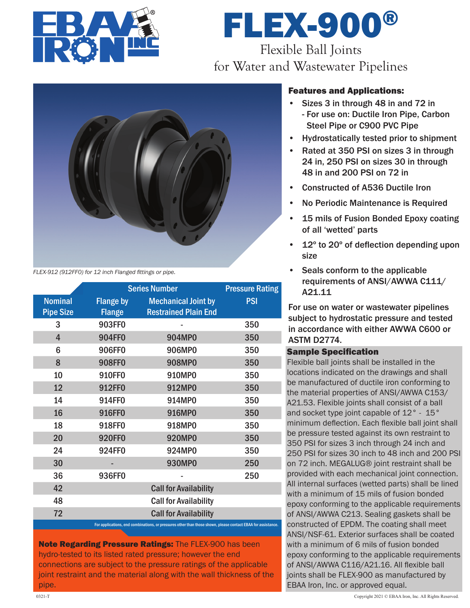

# FLEX-900® Flexible Ball Joints for Water and Wastewater Pipelines



*FLEX-912 (912FF0) for 12 inch Flanged fittings or pipe.*

|                  |                  | <b>Series Number</b>                                                                                         |            |  |
|------------------|------------------|--------------------------------------------------------------------------------------------------------------|------------|--|
| <b>Nominal</b>   | <b>Flange by</b> | <b>Mechanical Joint by</b>                                                                                   | <b>PSI</b> |  |
| <b>Pipe Size</b> | <b>Flange</b>    | <b>Restrained Plain End</b>                                                                                  |            |  |
| 3                | 903FF0           |                                                                                                              | 350        |  |
| $\overline{4}$   | 904FF0           | 904MP0                                                                                                       | 350        |  |
| 6                | 906FF0           | 906MP0                                                                                                       | 350        |  |
| 8                | 908FF0           | <b>908MP0</b>                                                                                                | 350        |  |
| 10               | 910FF0           | 910MP0                                                                                                       | 350        |  |
| 12               | 912FF0           | 912MP0                                                                                                       | 350        |  |
| 14               | 914FF0           | 914MP0                                                                                                       | 350        |  |
| 16               | 916FF0           | 916MP0                                                                                                       | 350        |  |
| 18               | 918FF0           | 918MP0                                                                                                       | 350        |  |
| 20               | <b>920FF0</b>    | <b>920MP0</b>                                                                                                | 350        |  |
| 24               | 924FF0           | 924MP0                                                                                                       | 350        |  |
| 30               |                  | <b>930MP0</b>                                                                                                | 250        |  |
| 36               | 936FF0           |                                                                                                              | 250        |  |
| 42               |                  | <b>Call for Availability</b>                                                                                 |            |  |
| 48               |                  | <b>Call for Availability</b>                                                                                 |            |  |
| 72               |                  | <b>Call for Availability</b>                                                                                 |            |  |
|                  |                  | For applications, end combinations, or pressures other than those shown, please contact EBAA for assistance. |            |  |

Note Regarding Pressure Ratings: The FLEX-900 has been hydro-tested to its listed rated pressure; however the end connections are subject to the pressure ratings of the applicable joint restraint and the material along with the wall thickness of the pipe.

# Features and Applications:

- Sizes 3 in through 48 in and 72 in - For use on: Ductile Iron Pipe, Carbon Steel Pipe or C900 PVC Pipe
- Hydrostatically tested prior to shipment
- Rated at 350 PSI on sizes 3 in through 24 in, 250 PSI on sizes 30 in through 48 in and 200 PSI on 72 in
- Constructed of A536 Ductile Iron
- No Periodic Maintenance is Required
- 15 mils of Fusion Bonded Epoxy coating of all 'wetted' parts
- 12º to 20º of deflection depending upon size
- Seals conform to the applicable requirements of ANSI/AWWA C111/ A21.11

For use on water or wastewater pipelines subject to hydrostatic pressure and tested in accordance with either AWWA C600 or ASTM D2774.

## Sample Specification

Flexible ball joints shall be installed in the locations indicated on the drawings and shall be manufactured of ductile iron conforming to the material properties of ANSI/AWWA C153/ A21.53. Flexible joints shall consist of a ball and socket type joint capable of 12° - 15° minimum deflection. Each flexible ball joint shall be pressure tested against its own restraint to 350 PSI for sizes 3 inch through 24 inch and 250 PSI for sizes 30 inch to 48 inch and 200 PSI on 72 inch. MEGALUG® joint restraint shall be provided with each mechanical joint connection. All internal surfaces (wetted parts) shall be lined with a minimum of 15 mils of fusion bonded epoxy conforming to the applicable requirements of ANSI/AWWA C213. Sealing gaskets shall be constructed of EPDM. The coating shall meet ANSI/NSF-61. Exterior surfaces shall be coated with a minimum of 6 mils of fusion bonded epoxy conforming to the applicable requirements of ANSI/AWWA C116/A21.16. All flexible ball joints shall be FLEX-900 as manufactured by EBAA Iron, Inc. or approved equal.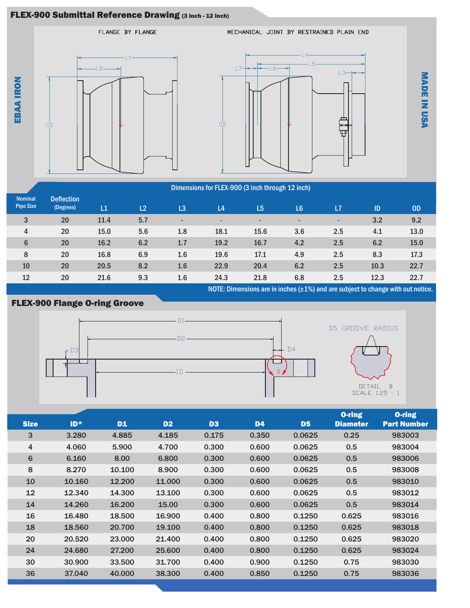# FLEX-900 Submittal Reference Drawing (3 inch - 12 inch)



|                                    |                                | Dimensions for FLEX-900 (3 inch through 12 inch) |                |     |                          |                |                          |     |      |           |
|------------------------------------|--------------------------------|--------------------------------------------------|----------------|-----|--------------------------|----------------|--------------------------|-----|------|-----------|
| <b>Nominal</b><br><b>Pipe Size</b> | <b>Deflection</b><br>(Degrees) | L1                                               | L <sub>2</sub> | L3  | L4                       | L <sub>5</sub> | L <sub>6</sub>           | L7  | ID   | <b>OD</b> |
| 3                                  | 20                             | 11.4                                             | 5.7            | ٠   | $\overline{\phantom{a}}$ | ٠              | $\overline{\phantom{a}}$ | ۰.  | 3.2  | 9.2       |
| 4                                  | 20                             | 15.0                                             | 5.6            | 1.8 | 18.1                     | 15.6           | 3.6                      | 2.5 | 4.1  | 13.0      |
| $6\phantom{1}$                     | 20                             | 16.2                                             | 6.2            | 1.7 | 19.2                     | 16.7           | 4.2                      | 2.5 | 6.2  | 15.0      |
| 8                                  | 20                             | 16.8                                             | 6.9            | 1.6 | 19.6                     | 17.1           | 4.9                      | 2.5 | 8.3  | 17.3      |
| 10                                 | 20                             | 20.5                                             | 8.2            | 1.6 | 22.9                     | 20.4           | 6.2                      | 2.5 | 10.3 | 22.7      |
| 12                                 | 20                             | 21.6                                             | 9.3            | 1.6 | 24.3                     | 21.8           | 6.8                      | 2.5 | 12.3 | 22.7      |

NOTE: Dimensions are in inches (±1%) and are subject to change with out notice.



| <b>Size</b>    | $ID*$  | <b>D1</b> | D <sub>2</sub> | D <sub>3</sub> | <b>D4</b> | D <sub>5</sub> | <b>O-ring</b><br><b>Diameter</b> | <b>O-ring</b><br><b>Part Number</b> |
|----------------|--------|-----------|----------------|----------------|-----------|----------------|----------------------------------|-------------------------------------|
| 3              | 3.280  | 4.885     | 4.185          | 0.175          | 0.350     | 0.0625         | 0.25                             | 983003                              |
| $\overline{4}$ | 4.060  | 5.900     | 4.700          | 0.300          | 0.600     | 0.0625         | 0.5                              | 983004                              |
| 6              | 6.160  | 8.00      | 6,800          | 0.300          | 0.600     | 0.0625         | 0.5                              | 983006                              |
| 8              | 8.270  | 10.100    | 8.900          | 0.300          | 0.600     | 0.0625         | 0.5                              | 983008                              |
| 10             | 10.160 | 12.200    | 11.000         | 0.300          | 0.600     | 0.0625         | 0.5                              | 983010                              |
| 12             | 12.340 | 14.300    | 13.100         | 0.300          | 0.600     | 0.0625         | 0.5                              | 983012                              |
| 14             | 14.260 | 16.200    | 15.00          | 0.300          | 0.600     | 0.0625         | 0.5                              | 983014                              |
| 16             | 16.480 | 18.500    | 16.900         | 0.400          | 0.800     | 0.1250         | 0.625                            | 983016                              |
| 18             | 18.560 | 20.700    | 19.100         | 0.400          | 0.800     | 0.1250         | 0.625                            | 983018                              |
| 20             | 20.520 | 23.000    | 21.400         | 0.400          | 0.800     | 0.1250         | 0.625                            | 983020                              |
| 24             | 24.680 | 27.200    | 25,600         | 0.400          | 0.800     | 0.1250         | 0.625                            | 983024                              |
| 30             | 30,900 | 33,500    | 31.700         | 0.400          | 0.900     | 0.1250         | 0.75                             | 983030                              |
| 36             | 37.040 | 40,000    | 38,300         | 0.400          | 0.850     | 0.1250         | 0.75                             | 983036                              |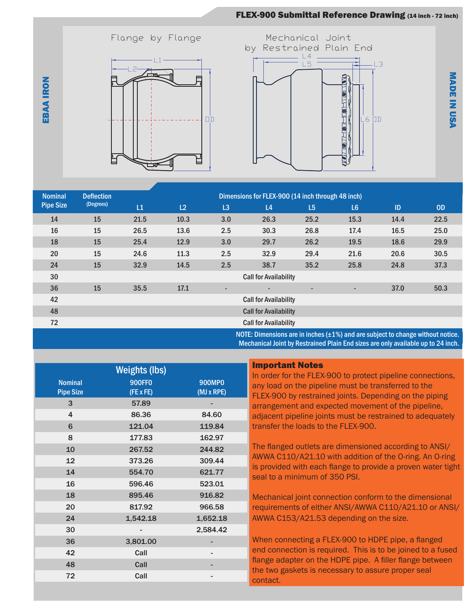# FLEX-900 Submittal Reference Drawing (14 inch - 72 inch)





M A D E

IN

U S A

| <b>Nominal</b>                                                                       | <b>Deflection</b> |      |                              |                          | Dimensions for FLEX-900 (14 inch through 48 inch) |                          |                |      |           |
|--------------------------------------------------------------------------------------|-------------------|------|------------------------------|--------------------------|---------------------------------------------------|--------------------------|----------------|------|-----------|
| <b>Pipe Size</b>                                                                     | (Degrees)         | L1   | L2                           | L3                       | L <sub>4</sub>                                    | L <sub>5</sub>           | L <sub>6</sub> | ID   | <b>OD</b> |
| 14                                                                                   | 15                | 21.5 | 10.3                         | 3.0                      | 26.3                                              | 25.2                     | 15.3           | 14.4 | 22.5      |
| 16                                                                                   | 15                | 26.5 | 13.6                         | 2.5                      | 30.3                                              | 26.8                     | 17.4           | 16.5 | 25.0      |
| 18                                                                                   | 15                | 25.4 | 12.9                         | 3.0                      | 29.7                                              | 26.2                     | 19.5           | 18.6 | 29.9      |
| 20                                                                                   | 15                | 24.6 | 11.3                         | 2.5                      | 32.9                                              | 29.4                     | 21.6           | 20.6 | 30.5      |
| 24                                                                                   | 15                | 32.9 | 14.5                         | 2.5                      | 38.7                                              | 35.2                     | 25.8           | 24.8 | 37.3      |
| 30                                                                                   |                   |      | <b>Call for Availability</b> |                          |                                                   |                          |                |      |           |
| 36                                                                                   | 15                | 35.5 | 17.1                         | $\overline{\phantom{a}}$ | $\overline{\phantom{a}}$                          | $\overline{\phantom{a}}$ | ٠              | 37.0 | 50.3      |
| 42                                                                                   |                   |      | <b>Call for Availability</b> |                          |                                                   |                          |                |      |           |
| 48                                                                                   |                   |      | <b>Call for Availability</b> |                          |                                                   |                          |                |      |           |
| 72                                                                                   |                   |      | <b>Call for Availability</b> |                          |                                                   |                          |                |      |           |
| NOTE: Dimensions are in inches $(\pm 1\%)$ and are subject to change without notice. |                   |      |                              |                          |                                                   |                          |                |      |           |

NOTE: Dimensions are in inches  $(\pm 1\%)$  and are subject to change without notice. Mechanical Joint by Restrained Plain End sizes are only available up to 24 inch.

| <b>Weights (lbs)</b>               |                                   |                             |  |  |  |  |
|------------------------------------|-----------------------------------|-----------------------------|--|--|--|--|
| <b>Nominal</b><br><b>Pipe Size</b> | <b>900FF0</b><br>$(FE \times FE)$ | <b>900MP0</b><br>(MJ x RPE) |  |  |  |  |
| 3                                  | 57.89                             |                             |  |  |  |  |
| 4                                  | 86.36                             | 84.60                       |  |  |  |  |
| 6                                  | 121.04                            | 119.84                      |  |  |  |  |
| 8                                  | 177.83                            | 162.97                      |  |  |  |  |
| 10                                 | 267.52                            | 244.82                      |  |  |  |  |
| 12                                 | 373.26                            | 309.44                      |  |  |  |  |
| 14                                 | 554.70                            | 621.77                      |  |  |  |  |
| 16                                 | 596.46                            | 523.01                      |  |  |  |  |
| 18                                 | 895.46                            | 916.82                      |  |  |  |  |
| 20                                 | 817.92                            | 966.58                      |  |  |  |  |
| 24                                 | 1,542.18                          | 1,652.18                    |  |  |  |  |
| 30                                 |                                   | 2,584.42                    |  |  |  |  |
| 36                                 | 3,801.00                          |                             |  |  |  |  |
| 42                                 | Call                              |                             |  |  |  |  |
| 48                                 | Call                              |                             |  |  |  |  |
| 72                                 | Call                              |                             |  |  |  |  |

#### Important Notes

In order for the FLEX-900 to protect pipeline connections, any load on the pipeline must be transferred to the FLEX-900 by restrained joints. Depending on the piping arrangement and expected movement of the pipeline, adjacent pipeline joints must be restrained to adequately transfer the loads to the FLEX-900.

The flanged outlets are dimensioned according to ANSI/ AWWA C110/A21.10 with addition of the O-ring. An O-ring is provided with each flange to provide a proven water tight seal to a minimum of 350 PSI.

Mechanical joint connection conform to the dimensional requirements of either ANSI/AWWA C110/A21.10 or ANSI/ AWWA C153/A21.53 depending on the size.

When connecting a FLEX-900 to HDPE pipe, a flanged end connection is required. This is to be joined to a fused flange adapter on the HDPE pipe. A filler flange between the two gaskets is necessary to assure proper seal contact.